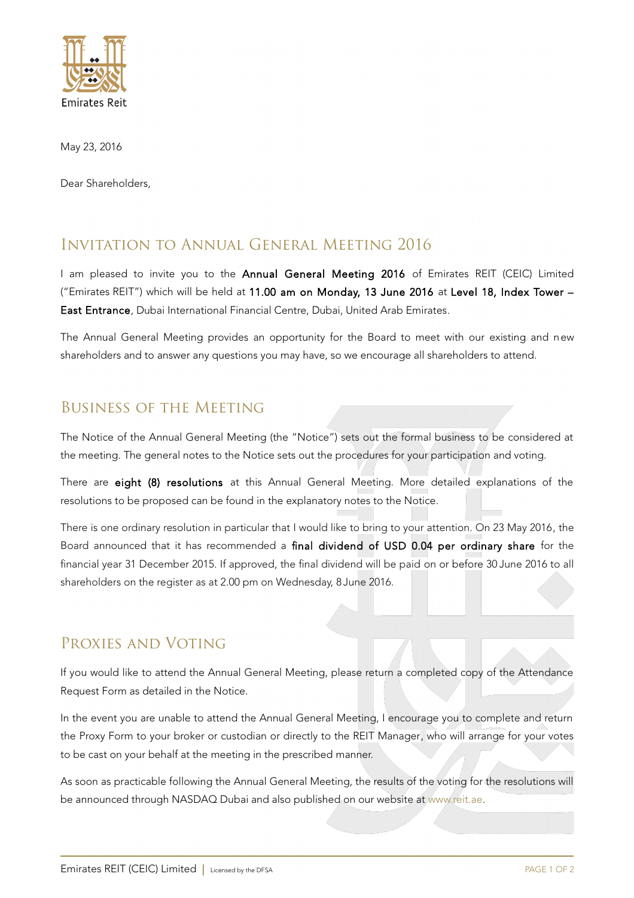

May 23, 2016

Dear Shareholders,

## Invitation to Annual General Meeting 2016

I am pleased to invite you to the Annual General Meeting 2016 of Emirates REIT (CEIC) Limited ("Emirates REIT") which will be held at 11.00 am on Monday, 13 June 2016 at Level 18, Index Tower – East Entrance, Dubai International Financial Centre, Dubai, United Arab Emirates.

The Annual General Meeting provides an opportunity for the Board to meet with our existing and new shareholders and to answer any questions you may have, so we encourage all shareholders to attend.

## Business of the Meeting

The Notice of the Annual General Meeting (the "Notice") sets out the formal business to be considered at the meeting. The general notes to the Notice sets out the procedures for your participation and voting.

There are eight (8) resolutions at this Annual General Meeting. More detailed explanations of the resolutions to be proposed can be found in the explanatory notes to the Notice.

There is one ordinary resolution in particular that I would like to bring to your attention. On 23 May 2016, the Board announced that it has recommended a final dividend of USD 0.04 per ordinary share for the financial year 31 December 2015. If approved, the final dividend will be paid on or before 30 June 2016 to all shareholders on the register as at 2.00 pm on Wednesday, 8 June 2016.

## Proxies and Voting

If you would like to attend the Annual General Meeting, please return a completed copy of the Attendance Request Form as detailed in the Notice.

In the event you are unable to attend the Annual General Meeting, I encourage you to complete and return the Proxy Form to your broker or custodian or directly to the REIT Manager, who will arrange for your votes to be cast on your behalf at the meeting in the prescribed manner.

As soon as practicable following the Annual General Meeting, the results of the voting for the resolutions will be announced through NASDAQ Dubai and also published on our website at [www.reit.ae.](http://www.reit.ae/)